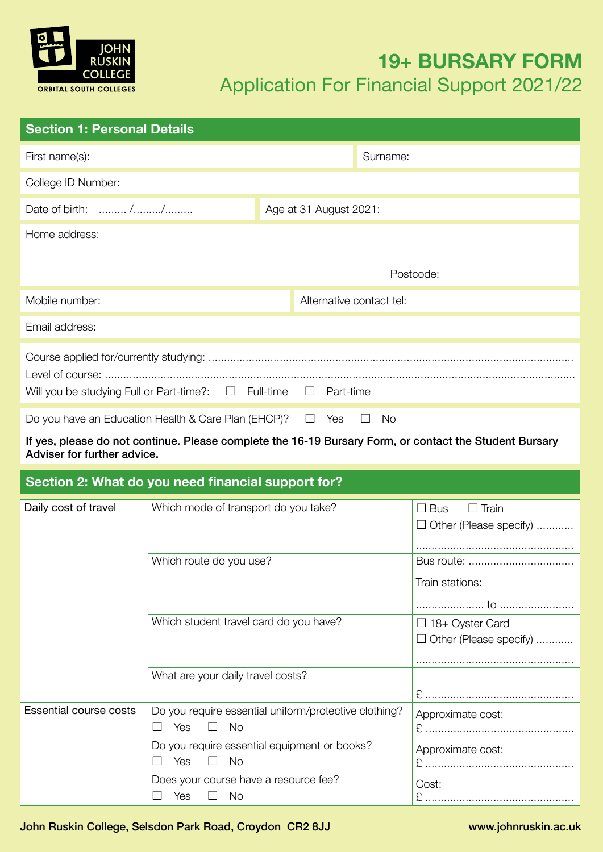

# **19+ BURSARY FORM** Application For Financial Support 2021/22

| <b>Section 1: Personal Details</b>                                               |  |                          |  |           |
|----------------------------------------------------------------------------------|--|--------------------------|--|-----------|
| First name(s):                                                                   |  |                          |  | Surname:  |
| College ID Number:                                                               |  |                          |  |           |
| Date of birth:  //                                                               |  | Age at 31 August 2021:   |  |           |
| Home address:                                                                    |  |                          |  |           |
|                                                                                  |  |                          |  | Postcode: |
| Mobile number:                                                                   |  | Alternative contact tel: |  |           |
| Email address:                                                                   |  |                          |  |           |
| Will you be studying Full or Part-time?: $\Box$ Full-time<br>Part-time<br>$\Box$ |  |                          |  |           |
| Do you have an Education Health & Care Plan (EHCP)?<br>Yes<br>Νo                 |  |                          |  |           |

If yes, please do not continue. Please complete the 16-19 Bursary Form, or contact the Student Bursary Adviser for further advice.

# **Section 2: What do you need financial support for?**

| Daily cost of travel          | Which mode of transport do you take?                                      | <b>Bus</b><br>$\Box$ Train<br>$\Box$ Other (Please specify) |
|-------------------------------|---------------------------------------------------------------------------|-------------------------------------------------------------|
|                               | Which route do you use?                                                   | Bus route:<br>Train stations:                               |
|                               | Which student travel card do you have?                                    | $\Box$ 18+ Oyster Card<br>$\Box$ Other (Please specify)     |
|                               | What are your daily travel costs?                                         |                                                             |
| <b>Essential course costs</b> | Do you require essential uniform/protective clothing?<br><b>No</b><br>Yes | Approximate cost:                                           |
|                               | Do you require essential equipment or books?<br><b>No</b><br>Yes          | Approximate cost:                                           |
|                               | Does your course have a resource fee?<br>No.<br>Yes                       | Cost:                                                       |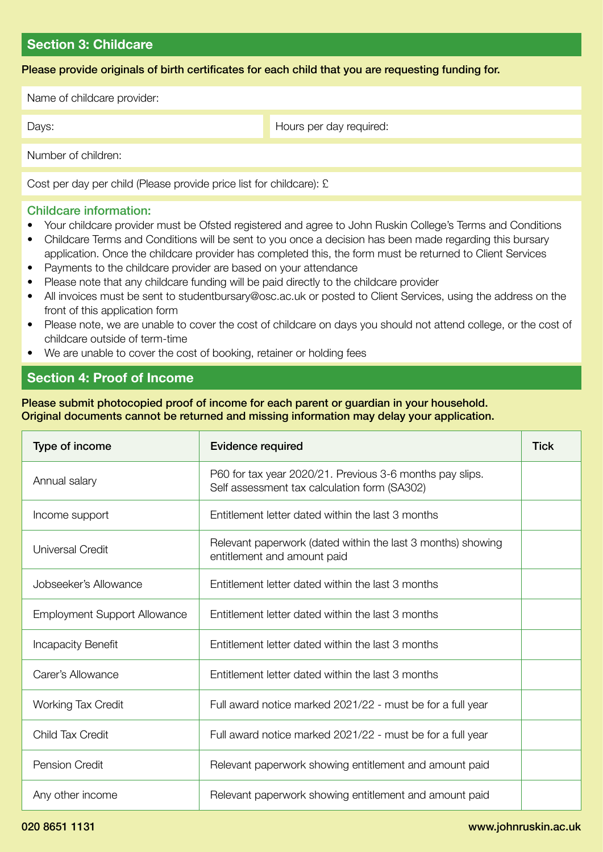### **Section 3: Childcare**

Please provide originals of birth certificates for each child that you are requesting funding for.

Name of childcare provider: Number of children: Cost per day per child (Please provide price list for childcare): £ Days: Days: Days: Days: Days: Days: Days: Days: Days: Days: Days: Days: Days: Days: Days: Days: Days: Days: Days: Days: Days: Days: Days: Days: Days: Days: Days: Days: Days: Days: Days: Days: Days: Days: Days: Days: Days:

## Childcare information:

- Your childcare provider must be Ofsted registered and agree to John Ruskin College's Terms and Conditions
- Childcare Terms and Conditions will be sent to you once a decision has been made regarding this bursary application. Once the childcare provider has completed this, the form must be returned to Client Services
- Payments to the childcare provider are based on your attendance
- Please note that any childcare funding will be paid directly to the childcare provider
- All invoices must be sent to studentbursary@osc.ac.uk or posted to Client Services, using the address on the front of this application form
- Please note, we are unable to cover the cost of childcare on days you should not attend college, or the cost of childcare outside of term-time
- We are unable to cover the cost of booking, retainer or holding fees

# **Section 4: Proof of Income**

Please submit photocopied proof of income for each parent or guardian in your household. Original documents cannot be returned and missing information may delay your application.

| Type of income<br><b>Evidence required</b> |                                                                                                          | <b>Tick</b> |
|--------------------------------------------|----------------------------------------------------------------------------------------------------------|-------------|
| Annual salary                              | P60 for tax year 2020/21. Previous 3-6 months pay slips.<br>Self assessment tax calculation form (SA302) |             |
| Income support                             | Entitlement letter dated within the last 3 months                                                        |             |
| <b>Universal Credit</b>                    | Relevant paperwork (dated within the last 3 months) showing<br>entitlement and amount paid               |             |
| Jobseeker's Allowance                      | Entitlement letter dated within the last 3 months                                                        |             |
| <b>Employment Support Allowance</b>        | Entitlement letter dated within the last 3 months                                                        |             |
| <b>Incapacity Benefit</b>                  | Entitlement letter dated within the last 3 months                                                        |             |
| Carer's Allowance                          | Entitlement letter dated within the last 3 months                                                        |             |
| <b>Working Tax Credit</b>                  | Full award notice marked 2021/22 - must be for a full year                                               |             |
| <b>Child Tax Credit</b>                    | Full award notice marked 2021/22 - must be for a full year                                               |             |
| <b>Pension Credit</b>                      | Relevant paperwork showing entitlement and amount paid                                                   |             |
| Any other income                           | Relevant paperwork showing entitlement and amount paid                                                   |             |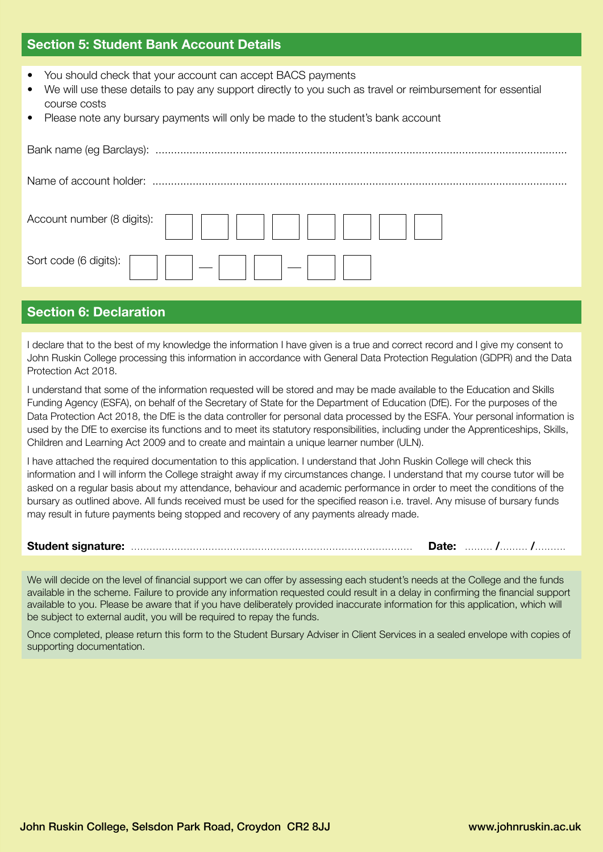## **Section 5: Student Bank Account Details**

- You should check that your account can accept BACS payments
- We will use these details to pay any support directly to you such as travel or reimbursement for essential course costs
- Please note any bursary payments will only be made to the student's bank account

| Account number (8 digits): |
|----------------------------|
| Sort code (6 digits):      |
|                            |

# **Section 6: Declaration**

I declare that to the best of my knowledge the information I have given is a true and correct record and I give my consent to John Ruskin College processing this information in accordance with General Data Protection Regulation (GDPR) and the Data Protection Act 2018.

I understand that some of the information requested will be stored and may be made available to the Education and Skills Funding Agency (ESFA), on behalf of the Secretary of State for the Department of Education (DfE). For the purposes of the Data Protection Act 2018, the DfE is the data controller for personal data processed by the ESFA. Your personal information is used by the DfE to exercise its functions and to meet its statutory responsibilities, including under the Apprenticeships, Skills, Children and Learning Act 2009 and to create and maintain a unique learner number (ULN).

I have attached the required documentation to this application. I understand that John Ruskin College will check this information and I will inform the College straight away if my circumstances change. I understand that my course tutor will be asked on a regular basis about my attendance, behaviour and academic performance in order to meet the conditions of the bursary as outlined above. All funds received must be used for the specified reason i.e. travel. Any misuse of bursary funds may result in future payments being stopped and recovery of any payments already made.

**Student signature:** ........................................................................................... **Date:** ......... **/**......... **/**..........

We will decide on the level of financial support we can offer by assessing each student's needs at the College and the funds available in the scheme. Failure to provide any information requested could result in a delay in confirming the financial support available to you. Please be aware that if you have deliberately provided inaccurate information for this application, which will be subject to external audit, you will be required to repay the funds.

Once completed, please return this form to the Student Bursary Adviser in Client Services in a sealed envelope with copies of supporting documentation.